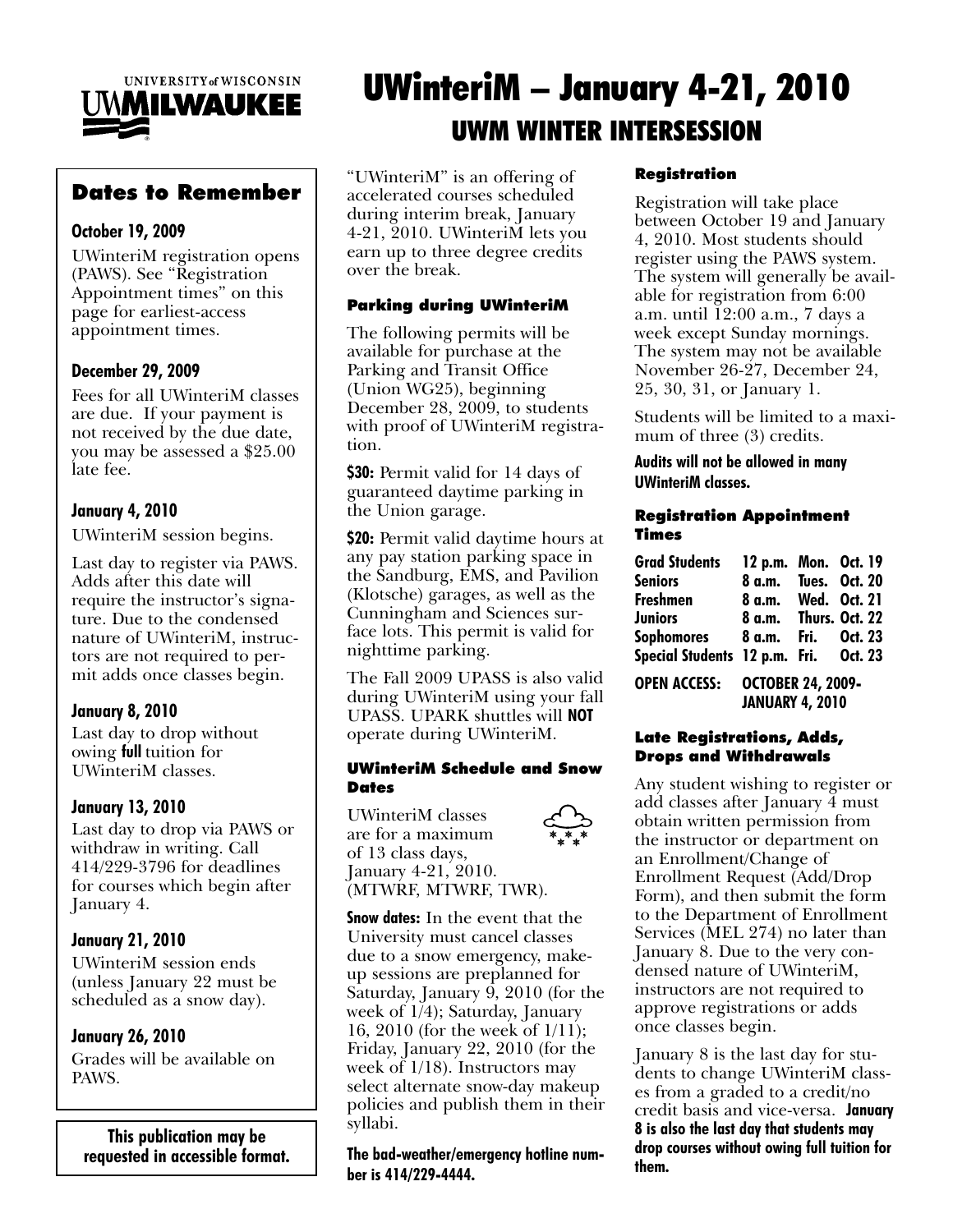

# Dates to Remember

# October 19, 2009

UWinteriM registration opens (PAWS). See "Registration Appointment times" on this page for earliest-access appointment times.

# December 29, 2009

Fees for all UWinteriM classes are due. If your payment is not received by the due date, you may be assessed a \$25.00 late fee.

# January 4, 2010

UWinteriM session begins.

Last day to register via PAWS. Adds after this date will require the instructor's signature. Due to the condensed nature of UWinteriM, instructors are not required to permit adds once classes begin.

# January 8, 2010

Last day to drop without owing full tuition for UWinteriM classes.

# January 13, 2010

Last day to drop via PAWS or withdraw in writing. Call 414/229-3796 for deadlines for courses which begin after January 4.

# January 21, 2010

UWinteriM session ends (unless January 22 must be scheduled as a snow day).

# January 26, 2010

Grades will be available on PAWS.

This publication may be requested in accessible format.

# UWinteriM – January 4-21, 2010 UWM WINTER INTERSESSION

"UWinteriM" is an offering of accelerated courses scheduled during interim break, January 4-21, 2010. UWinteriM lets you earn up to three degree credits over the break.

# Parking during UWinteriM

The following permits will be available for purchase at the Parking and Transit Office (Union WG25), beginning December 28, 2009, to students with proof of UWinteriM registration.

**\$30:** Permit valid for 14 days of guaranteed daytime parking in the Union garage.

\$20: Permit valid daytime hours at any pay station parking space in the Sandburg, EMS, and Pavilion (Klotsche) garages, as well as the Cunningham and Sciences surface lots. This permit is valid for nighttime parking.

The Fall 2009 UPASS is also valid during UWinteriM using your fall UPASS. UPARK shuttles will NOT operate during UWinteriM.

#### UWinteriM Schedule and Snow **Dates**

UWinteriM classes are for a maximum of 13 class days, January 4-21, 2010. (MTWRF, MTWRF, TWR).

**Snow dates:** In the event that the University must cancel classes due to a snow emergency, makeup sessions are preplanned for Saturday, January  $\overline{9}$ , 2010 (for the week of 1/4); Saturday, January 16, 2010 (for the week of 1/11); Friday, January 22, 2010 (for the week of 1/18). Instructors may select alternate snow-day makeup policies and publish them in their syllabi.

The bad-weather/emergency hotline number is 414/229-4444.

## Registration

Registration will take place between October 19 and January 4, 2010. Most students should register using the PAWS system. The system will generally be available for registration from 6:00 a.m. until 12:00 a.m., 7 days a week except Sunday mornings. The system may not be available November 26-27, December 24, 25, 30, 31, or January 1.

Students will be limited to a maximum of three  $(3)$  credits.

#### Audits will not be allowed in many UWinteriM classes.

#### Registration Appointment Times

| <b>Grad Students</b>                  | 12 p.m. Mon. Oct. 19     |  |  |
|---------------------------------------|--------------------------|--|--|
| <b>Seniors</b>                        | 8 a.m. Tues. Oct. 20     |  |  |
| Freshmen                              | 8 a.m. Wed. Oct. 21      |  |  |
| Juniors                               | 8 a.m. Thurs. Oct. 22    |  |  |
| Sophomores 8 a.m. Fri. Oct. 23        |                          |  |  |
| Special Students 12 p.m. Fri. Oct. 23 |                          |  |  |
| <b>OPEN ACCESS:</b>                   | <b>OCTOBER 24, 2009-</b> |  |  |

#### JANUARY 4, 2010

#### Late Registrations, Adds, Drops and Withdrawals

Any student wishing to register or add classes after January 4 must obtain written permission from the instructor or department on an Enrollment/Change of Enrollment Request (Add/Drop Form), and then submit the form to the Department of Enrollment Services (MEL 274) no later than January 8. Due to the very condensed nature of UWinteriM, instructors are not required to approve registrations or adds once classes begin.

January 8 is the last day for students to change UWinteriM classes from a graded to a credit/no credit basis and vice-versa. January 8 is also the last day that students may drop courses without owing full tuition for them.